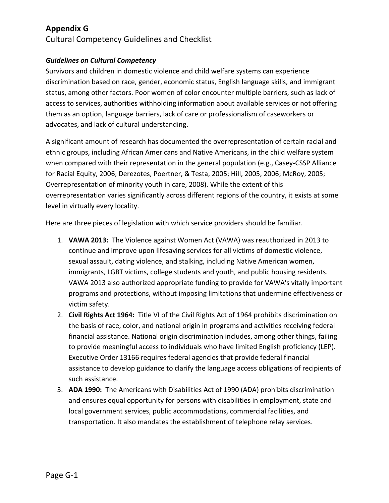# **Appendix G**

Cultural Competency Guidelines and Checklist

### *Guidelines on Cultural Competency*

Survivors and children in domestic violence and child welfare systems can experience discrimination based on race, gender, economic status, English language skills, and immigrant status, among other factors. Poor women of color encounter multiple barriers, such as lack of access to services, authorities withholding information about available services or not offering them as an option, language barriers, lack of care or professionalism of caseworkers or advocates, and lack of cultural understanding.

A significant amount of research has documented the overrepresentation of certain racial and ethnic groups, including African Americans and Native Americans, in the child welfare system when compared with their representation in the general population (e.g., Casey-CSSP Alliance for Racial Equity, 2006; Derezotes, Poertner, & Testa, 2005; Hill, 2005, 2006; McRoy, 2005; Overrepresentation of minority youth in care, 2008). While the extent of this overrepresentation varies significantly across different regions of the country, it exists at some level in virtually every locality.

Here are three pieces of legislation with which service providers should be familiar.

- 1. **VAWA 2013:** The Violence against Women Act (VAWA) was reauthorized in 2013 to continue and improve upon lifesaving services for all victims of domestic violence, sexual assault, dating violence, and stalking, including Native American women, immigrants, LGBT victims, college students and youth, and public housing residents. VAWA 2013 also authorized appropriate funding to provide for VAWA's vitally important programs and protections, without imposing limitations that undermine effectiveness or victim safety.
- 2. **Civil Rights Act 1964:** Title VI of the Civil Rights Act of 1964 prohibits discrimination on the basis of race, color, and national origin in programs and activities receiving federal financial assistance. National origin discrimination includes, among other things, failing to provide meaningful access to individuals who have limited English proficiency (LEP). Executive Order 13166 requires federal agencies that provide federal financial assistance to develop guidance to clarify the language access obligations of recipients of such assistance.
- 3. **ADA 1990:** The Americans with Disabilities Act of 1990 (ADA) prohibits discrimination and ensures equal opportunity for persons with disabilities in employment, state and local government services, public accommodations, commercial facilities, and transportation. It also mandates the establishment of telephone relay services.